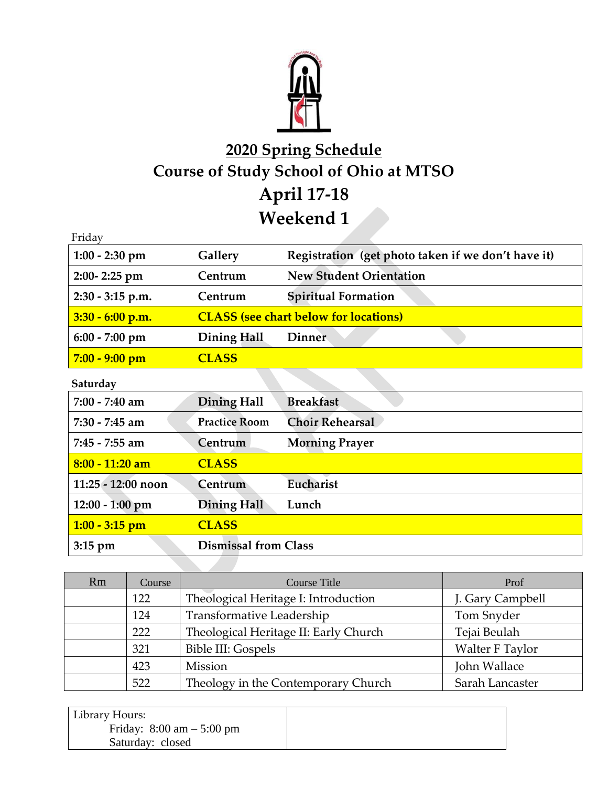

## **2020 Spring Schedule Course of Study School of Ohio at MTSO April 17-18 Weekend 1**

| Friday             |                    |                                                    |
|--------------------|--------------------|----------------------------------------------------|
| $1:00 - 2:30$ pm   | Gallery            | Registration (get photo taken if we don't have it) |
| $2:00 - 2:25$ pm   | Centrum            | <b>New Student Orientation</b>                     |
| 2:30 - 3:15 p.m.   | Centrum            | <b>Spiritual Formation</b>                         |
| $3:30 - 6:00$ p.m. |                    | <b>CLASS</b> (see chart below for locations)       |
| $6:00 - 7:00$ pm   | Dining Hall        | <b>Dinner</b>                                      |
| $7:00 - 9:00$ pm   | <b>CLASS</b>       |                                                    |
| Saturday           |                    |                                                    |
| $7:00 - 7:40$ am   | <b>Dining Hall</b> | <b>Breakfast</b>                                   |
|                    |                    |                                                    |

| $1.00 - 1.10$ and  | $\nu$ <i>mmı</i> z Han      | DICANIASI              |
|--------------------|-----------------------------|------------------------|
| $7:30 - 7:45$ am   | <b>Practice Room</b>        | <b>Choir Rehearsal</b> |
| $7:45 - 7:55$ am   | Centrum                     | <b>Morning Prayer</b>  |
| $8:00 - 11:20$ am  | <b>CLASS</b>                |                        |
| 11:25 - 12:00 noon | Centrum                     | Eucharist              |
| $12:00 - 1:00$ pm  | <b>Dining Hall</b>          | Lunch                  |
| $1:00 - 3:15$ pm   | <b>CLASS</b>                |                        |
| $3:15$ pm          | <b>Dismissal from Class</b> |                        |

| <b>Rm</b> | Course | <b>Course Title</b>                   | Prof             |
|-----------|--------|---------------------------------------|------------------|
|           | 122    | Theological Heritage I: Introduction  | J. Gary Campbell |
|           | 124    | Transformative Leadership             | Tom Snyder       |
|           | 222    | Theological Heritage II: Early Church | Tejai Beulah     |
|           | 321    | Bible III: Gospels                    | Walter F Taylor  |
|           | 423    | Mission                               | John Wallace     |
|           | 522    | Theology in the Contemporary Church   | Sarah Lancaster  |

| Library Hours:                              |  |
|---------------------------------------------|--|
| Friday: $8:00 \text{ am} - 5:00 \text{ pm}$ |  |
| Saturday: closed                            |  |